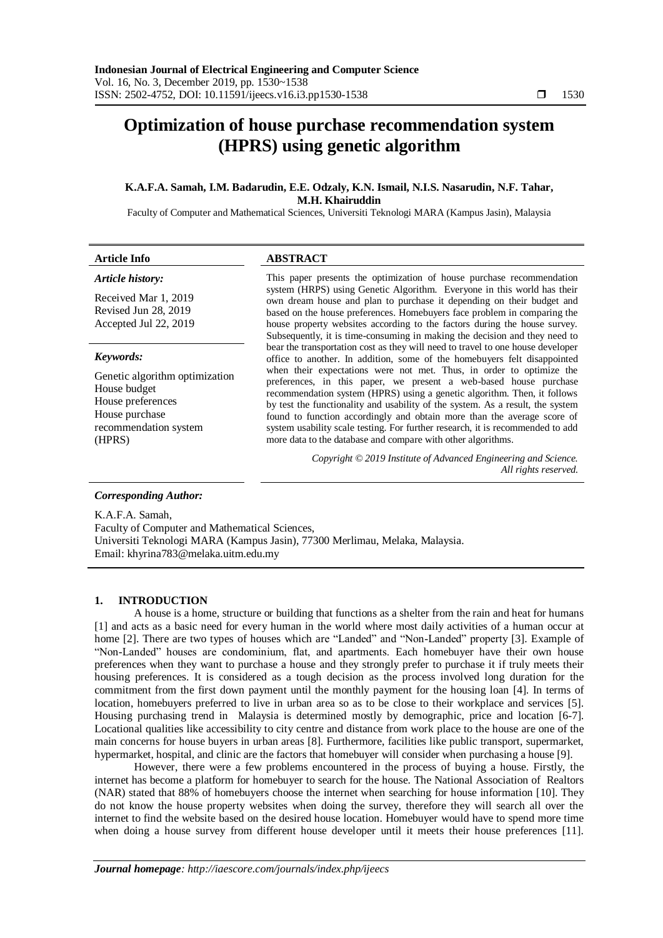# **Optimization of house purchase recommendation system (HPRS) using genetic algorithm**

# **K.A.F.A. Samah, I.M. Badarudin, E.E. Odzaly, K.N. Ismail, N.I.S. Nasarudin, N.F. Tahar, M.H. Khairuddin**

Faculty of Computer and Mathematical Sciences, Universiti Teknologi MARA (Kampus Jasin), Malaysia

| <b>Article Info</b>                                                                                                      | <b>ABSTRACT</b>                                                                                                                                                                                                                                                                                                                                                                                                                                                                                                                      |
|--------------------------------------------------------------------------------------------------------------------------|--------------------------------------------------------------------------------------------------------------------------------------------------------------------------------------------------------------------------------------------------------------------------------------------------------------------------------------------------------------------------------------------------------------------------------------------------------------------------------------------------------------------------------------|
| Article history:                                                                                                         | This paper presents the optimization of house purchase recommendation                                                                                                                                                                                                                                                                                                                                                                                                                                                                |
| Received Mar 1, 2019<br>Revised Jun 28, 2019<br>Accepted Jul 22, 2019                                                    | system (HRPS) using Genetic Algorithm. Everyone in this world has their<br>own dream house and plan to purchase it depending on their budget and<br>based on the house preferences. Homebuyers face problem in comparing the<br>house property websites according to the factors during the house survey.<br>Subsequently, it is time-consuming in making the decision and they need to                                                                                                                                              |
| Keywords:                                                                                                                | bear the transportation cost as they will need to travel to one house developer<br>office to another. In addition, some of the homebuyers felt disappointed                                                                                                                                                                                                                                                                                                                                                                          |
| Genetic algorithm optimization<br>House budget<br>House preferences<br>House purchase<br>recommendation system<br>(HPRS) | when their expectations were not met. Thus, in order to optimize the<br>preferences, in this paper, we present a web-based house purchase<br>recommendation system (HPRS) using a genetic algorithm. Then, it follows<br>by test the functionality and usability of the system. As a result, the system<br>found to function accordingly and obtain more than the average score of<br>system usability scale testing. For further research, it is recommended to add<br>more data to the database and compare with other algorithms. |
|                                                                                                                          | Copyright © 2019 Institute of Advanced Engineering and Science.<br>All rights reserved.                                                                                                                                                                                                                                                                                                                                                                                                                                              |
| <b>Corresponding Author:</b>                                                                                             |                                                                                                                                                                                                                                                                                                                                                                                                                                                                                                                                      |

K.A.F.A. Samah, Faculty of Computer and Mathematical Sciences, Universiti Teknologi MARA (Kampus Jasin), 77300 Merlimau, Melaka, Malaysia. Email: [khyrina783@melaka.uitm.edu.my](mailto:khyrina783@melaka.uitm.edu.my)

# **1. INTRODUCTION**

A house is a home, structure or building that functions as a shelter from the rain and heat for humans [1] and acts as a basic need for every human in the world where most daily activities of a human occur at home [2]. There are two types of houses which are "Landed" and "Non-Landed" property [3]. Example of "Non-Landed" houses are condominium, flat, and apartments. Each homebuyer have their own house preferences when they want to purchase a house and they strongly prefer to purchase it if truly meets their housing preferences. It is considered as a tough decision as the process involved long duration for the commitment from the first down payment until the monthly payment for the housing loan [4]. In terms of location, homebuyers preferred to live in urban area so as to be close to their workplace and services [5]. Housing purchasing trend in Malaysia is determined mostly by demographic, price and location [6-7]. Locational qualities like accessibility to city centre and distance from work place to the house are one of the main concerns for house buyers in urban areas [8]. Furthermore, facilities like public transport, supermarket, hypermarket, hospital, and clinic are the factors that homebuyer will consider when purchasing a house [9].

However, there were a few problems encountered in the process of buying a house. Firstly, the internet has become a platform for homebuyer to search for the house. The National Association of Realtors (NAR) stated that 88% of homebuyers choose the internet when searching for house information [10]. They do not know the house property websites when doing the survey, therefore they will search all over the internet to find the website based on the desired house location. Homebuyer would have to spend more time when doing a house survey from different house developer until it meets their house preferences [11].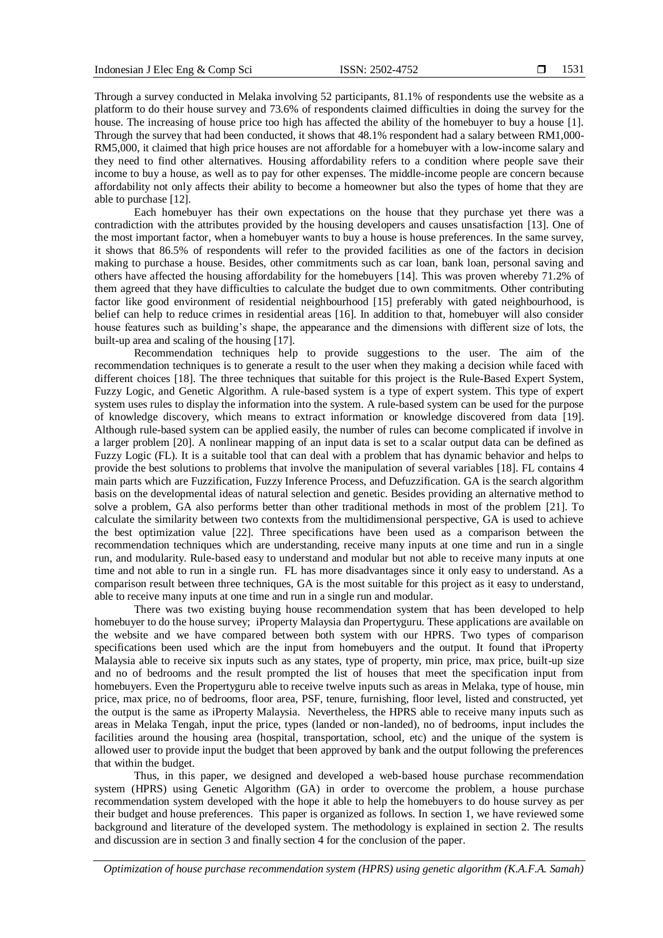Through a survey conducted in Melaka involving 52 participants, 81.1% of respondents use the website as a platform to do their house survey and 73.6% of respondents claimed difficulties in doing the survey for the house. The increasing of house price too high has affected the ability of the homebuyer to buy a house [1]. Through the survey that had been conducted, it shows that 48.1% respondent had a salary between RM1,000- RM5,000, it claimed that high price houses are not affordable for a homebuyer with a low-income salary and they need to find other alternatives. Housing affordability refers to a condition where people save their income to buy a house, as well as to pay for other expenses. The middle-income people are concern because affordability not only affects their ability to become a homeowner but also the types of home that they are able to purchase [12].

Each homebuyer has their own expectations on the house that they purchase yet there was a contradiction with the attributes provided by the housing developers and causes unsatisfaction [13]. One of the most important factor, when a homebuyer wants to buy a house is house preferences. In the same survey, it shows that 86.5% of respondents will refer to the provided facilities as one of the factors in decision making to purchase a house. Besides, other commitments such as car loan, bank loan, personal saving and others have affected the housing affordability for the homebuyers [14]. This was proven whereby 71.2% of them agreed that they have difficulties to calculate the budget due to own commitments. Other contributing factor like good environment of residential neighbourhood [15] preferably with gated neighbourhood, is belief can help to reduce crimes in residential areas [16]. In addition to that, homebuyer will also consider house features such as building's shape, the appearance and the dimensions with different size of lots, the built-up area and scaling of the housing [17].

Recommendation techniques help to provide suggestions to the user. The aim of the recommendation techniques is to generate a result to the user when they making a decision while faced with different choices [18]. The three techniques that suitable for this project is the Rule-Based Expert System, Fuzzy Logic, and Genetic Algorithm. A rule-based system is a type of expert system. This type of expert system uses rules to display the information into the system. A rule-based system can be used for the purpose of knowledge discovery, which means to extract information or knowledge discovered from data [19]. Although rule-based system can be applied easily, the number of rules can become complicated if involve in a larger problem [20]. A nonlinear mapping of an input data is set to a scalar output data can be defined as Fuzzy Logic (FL). It is a suitable tool that can deal with a problem that has dynamic behavior and helps to provide the best solutions to problems that involve the manipulation of several variables [18]. FL contains 4 main parts which are Fuzzification, Fuzzy Inference Process, and Defuzzification. GA is the search algorithm basis on the developmental ideas of natural selection and genetic. Besides providing an alternative method to solve a problem, GA also performs better than other traditional methods in most of the problem [21]. To calculate the similarity between two contexts from the multidimensional perspective, GA is used to achieve the best optimization value [22]. Three specifications have been used as a comparison between the recommendation techniques which are understanding, receive many inputs at one time and run in a single run, and modularity. Rule-based easy to understand and modular but not able to receive many inputs at one time and not able to run in a single run. FL has more disadvantages since it only easy to understand. As a comparison result between three techniques, GA is the most suitable for this project as it easy to understand, able to receive many inputs at one time and run in a single run and modular.

There was two existing buying house recommendation system that has been developed to help homebuyer to do the house survey; iProperty Malaysia dan Propertyguru. These applications are available on the website and we have compared between both system with our HPRS. Two types of comparison specifications been used which are the input from homebuyers and the output. It found that iProperty Malaysia able to receive six inputs such as any states, type of property, min price, max price, built-up size and no of bedrooms and the result prompted the list of houses that meet the specification input from homebuyers. Even the Propertyguru able to receive twelve inputs such as areas in Melaka, type of house, min price, max price, no of bedrooms, floor area, PSF, tenure, furnishing, floor level, listed and constructed, yet the output is the same as iProperty Malaysia. Nevertheless, the HPRS able to receive many inputs such as areas in Melaka Tengah, input the price, types (landed or non-landed), no of bedrooms, input includes the facilities around the housing area (hospital, transportation, school, etc) and the unique of the system is allowed user to provide input the budget that been approved by bank and the output following the preferences that within the budget.

Thus, in this paper, we designed and developed a web-based house purchase recommendation system (HPRS) using Genetic Algorithm (GA) in order to overcome the problem, a house purchase recommendation system developed with the hope it able to help the homebuyers to do house survey as per their budget and house preferences. This paper is organized as follows. In section 1, we have reviewed some background and literature of the developed system. The methodology is explained in section 2. The results and discussion are in section 3 and finally section 4 for the conclusion of the paper.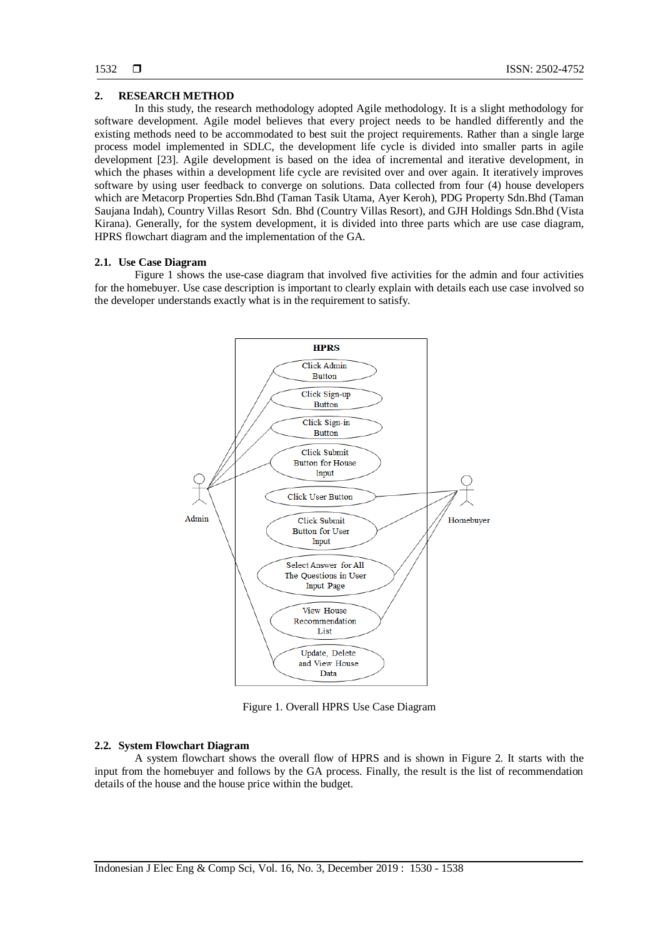# **2. RESEARCH METHOD**

In this study, the research methodology adopted Agile methodology. It is a slight methodology for software development. Agile model believes that every project needs to be handled differently and the existing methods need to be accommodated to best suit the project requirements. Rather than a single large process model implemented in SDLC, the development life cycle is divided into smaller parts in agile development [23]. Agile development is based on the idea of incremental and iterative development, in which the phases within a development life cycle are revisited over and over again. It iteratively improves software by using user feedback to converge on solutions. Data collected from four (4) house developers which are Metacorp Properties Sdn.Bhd (Taman Tasik Utama, Ayer Keroh), PDG Property Sdn.Bhd (Taman Saujana Indah), Country Villas Resort Sdn. Bhd (Country Villas Resort), and GJH Holdings Sdn.Bhd (Vista Kirana). Generally, for the system development, it is divided into three parts which are use case diagram, HPRS flowchart diagram and the implementation of the GA.

# **2.1. Use Case Diagram**

Figure 1 shows the use-case diagram that involved five activities for the admin and four activities for the homebuyer. Use case description is important to clearly explain with details each use case involved so the developer understands exactly what is in the requirement to satisfy.



Figure 1. Overall HPRS Use Case Diagram

# **2.2. System Flowchart Diagram**

A system flowchart shows the overall flow of HPRS and is shown in Figure 2. It starts with the input from the homebuyer and follows by the GA process. Finally, the result is the list of recommendation details of the house and the house price within the budget.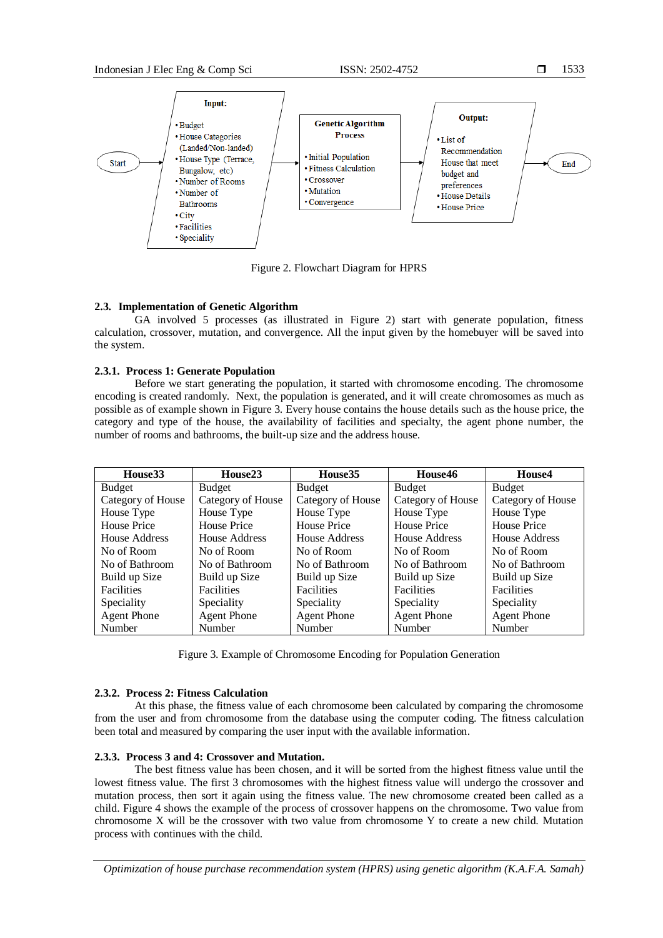

Figure 2. Flowchart Diagram for HPRS

# **2.3. Implementation of Genetic Algorithm**

GA involved 5 processes (as illustrated in Figure 2) start with generate population, fitness calculation, crossover, mutation, and convergence. All the input given by the homebuyer will be saved into the system.

# **2.3.1. Process 1: Generate Population**

Before we start generating the population, it started with chromosome encoding. The chromosome encoding is created randomly. Next, the population is generated, and it will create chromosomes as much as possible as of example shown in Figure 3. Every house contains the house details such as the house price, the category and type of the house, the availability of facilities and specialty, the agent phone number, the number of rooms and bathrooms, the built-up size and the address house.

| House <sub>33</sub> | House <sub>23</sub> | House35            | House46            | House4             |
|---------------------|---------------------|--------------------|--------------------|--------------------|
| <b>Budget</b>       | <b>Budget</b>       | Budget             | <b>Budget</b>      | <b>Budget</b>      |
| Category of House   | Category of House   | Category of House  | Category of House  | Category of House  |
| House Type          | House Type          | House Type         | House Type         | House Type         |
| House Price         | House Price         | House Price        | House Price        | House Price        |
| House Address       | House Address       | House Address      | House Address      | House Address      |
| No of Room          | No of Room          | No of Room         | No of Room         | No of Room         |
| No of Bathroom      | No of Bathroom      | No of Bathroom     | No of Bathroom     | No of Bathroom     |
| Build up Size       | Build up Size       | Build up Size      | Build up Size      | Build up Size      |
| <b>Facilities</b>   | <b>Facilities</b>   | <b>Facilities</b>  | <b>Facilities</b>  | <b>Facilities</b>  |
| Speciality          | Speciality          | Speciality         | Speciality         | Speciality         |
| <b>Agent Phone</b>  | <b>Agent Phone</b>  | <b>Agent Phone</b> | <b>Agent Phone</b> | <b>Agent Phone</b> |
| Number              | Number              | Number             | <b>Number</b>      | Number             |

Figure 3. Example of Chromosome Encoding for Population Generation

# **2.3.2. Process 2: Fitness Calculation**

At this phase, the fitness value of each chromosome been calculated by comparing the chromosome from the user and from chromosome from the database using the computer coding. The fitness calculation been total and measured by comparing the user input with the available information.

# **2.3.3. Process 3 and 4: Crossover and Mutation.**

The best fitness value has been chosen, and it will be sorted from the highest fitness value until the lowest fitness value. The first 3 chromosomes with the highest fitness value will undergo the crossover and mutation process, then sort it again using the fitness value. The new chromosome created been called as a child. Figure 4 shows the example of the process of crossover happens on the chromosome. Two value from chromosome X will be the crossover with two value from chromosome Y to create a new child. Mutation process with continues with the child.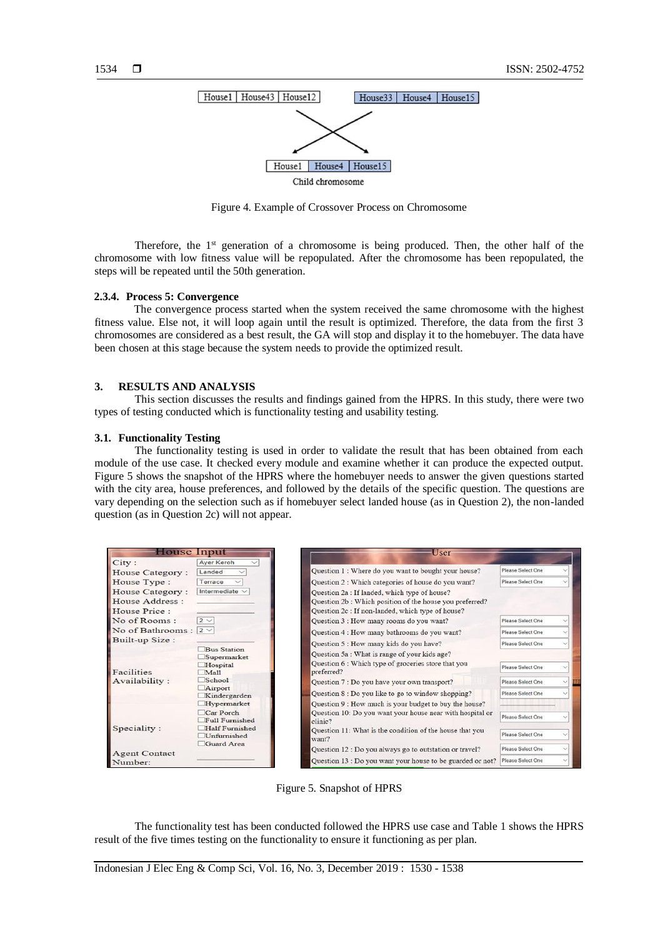

Figure 4. Example of Crossover Process on Chromosome

Therefore, the  $1<sup>st</sup>$  generation of a chromosome is being produced. Then, the other half of the chromosome with low fitness value will be repopulated. After the chromosome has been repopulated, the steps will be repeated until the 50th generation.

#### **2.3.4. Process 5: Convergence**

The convergence process started when the system received the same chromosome with the highest fitness value. Else not, it will loop again until the result is optimized. Therefore, the data from the first 3 chromosomes are considered as a best result, the GA will stop and display it to the homebuyer. The data have been chosen at this stage because the system needs to provide the optimized result.

# **3. RESULTS AND ANALYSIS**

This section discusses the results and findings gained from the HPRS. In this study, there were two types of testing conducted which is functionality testing and usability testing.

# **3.1. Functionality Testing**

The functionality testing is used in order to validate the result that has been obtained from each module of the use case. It checked every module and examine whether it can produce the expected output. Figure 5 shows the snapshot of the HPRS where the homebuyer needs to answer the given questions started with the city area, house preferences, and followed by the details of the specific question. The questions are vary depending on the selection such as if homebuyer select landed house (as in Question 2), the non-landed question (as in Question 2c) will not appear.

| House Input                |                                   | User                                                                 |                   |
|----------------------------|-----------------------------------|----------------------------------------------------------------------|-------------------|
| City:                      | Aver Keroh<br>$\checkmark$        |                                                                      |                   |
| <b>House Category:</b>     | Landed                            | Question 1 : Where do you want to bought your house?                 | Please Select One |
| House Type:                | Terrace                           | Question 2 : Which categories of house do you want?                  | Please Select One |
| House Category:            | Intermediate $\vee$               | Question 2a : If landed, which type of house?                        |                   |
| House Address:             |                                   | Question 2b: Which position of the house you preferred?              |                   |
| House Price:               |                                   | Question 2c : If non-landed, which type of house?                    |                   |
| No of Rooms:               | $2 \vee$                          | Question 3 : How many rooms do you want?                             | Please Select One |
| No of Bathrooms : $2 \vee$ |                                   | Question 4 : How many bathrooms do you want?                         | Please Select One |
| Built-up Size:             |                                   | Question 5 : How many kids do you have?                              | Please Select One |
|                            | <b>Bus Station</b><br>Supermarket | Question 5a : What is range of your kids age?                        |                   |
| Facilities                 | Hospital<br>Mall                  | Question 6 : Which type of groceries store that you<br>preferred?    | Please Select One |
| Availability:              | School                            | Question 7 : Do you have your own transport?                         | Please Select One |
|                            | Airport<br>Kindergarden           | Question 8 : Do you like to go to window shopping?                   | Please Select One |
|                            | Hypermarket                       | Question 9 : How much is your budget to buy the house?               |                   |
|                            | Car Porch<br>Full Furnished       | Question 10: Do you want your house near with hospital or<br>clinic? | Please Select One |
| Speciality :               | Half Furnished<br>Unfurnished     | Question 11: What is the condition of the house that you<br>want?    | Please Select One |
| <b>Agent Contact</b>       | Guard Area                        | Question 12 : Do you always go to outstation or travel?              | Please Select One |
| Number:                    |                                   | Question 13 : Do you want your house to be guarded or not?           | Please Select One |

Figure 5. Snapshot of HPRS

The functionality test has been conducted followed the HPRS use case and Table 1 shows the HPRS result of the five times testing on the functionality to ensure it functioning as per plan.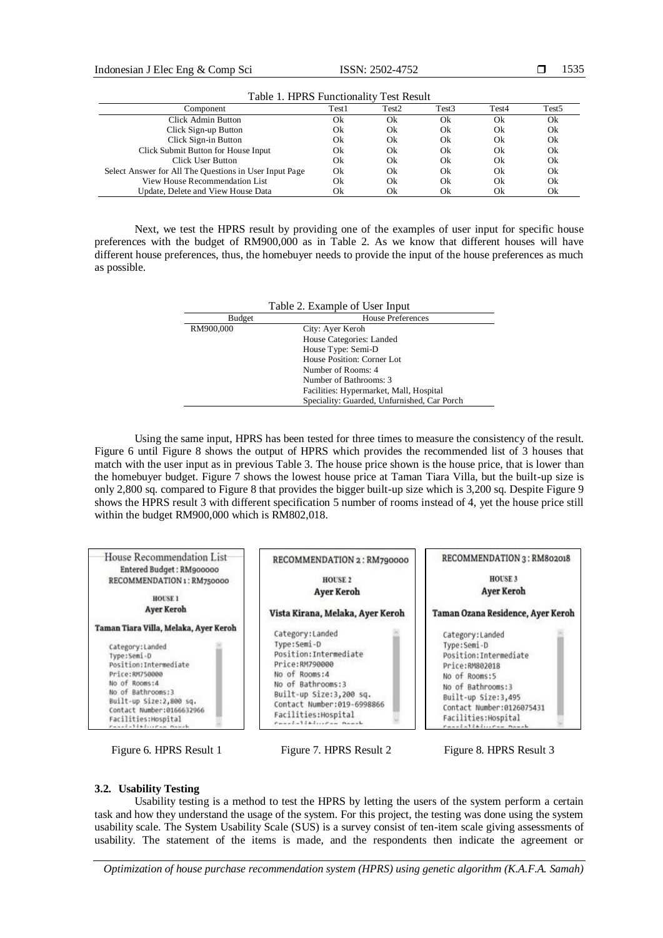| Table 1. TH RS I differentative Test Result            |       |       |       |       |                   |  |
|--------------------------------------------------------|-------|-------|-------|-------|-------------------|--|
| Component                                              | Test1 | Test2 | Test3 | Test4 | Test <sub>5</sub> |  |
| Click Admin Button                                     | Ok    | Ok    | Ok    | Ok    | Ok                |  |
| Click Sign-up Button                                   | Ok    | Ok    | Ok    | Ok    | Ok                |  |
| Click Sign-in Button                                   | Ok    | Ok    | Ok    | Ok    | Ok                |  |
| Click Submit Button for House Input                    | Ok    | Ok    | Ok    | Ok    | Ok                |  |
| Click User Button                                      | Ok    | Ok    | Ok    | Ok    | Ok                |  |
| Select Answer for All The Questions in User Input Page | Ok    | Ok    | Ok    | Ok    | Ok                |  |
| View House Recommendation List                         | Ok    | Ok    | Ok    | Ok    | Ok                |  |
| Update, Delete and View House Data                     | Ok    | Ok    | Ok    | Ok    | Ok                |  |

Table 1. HPRS Functionality Test Result

Next, we test the HPRS result by providing one of the examples of user input for specific house preferences with the budget of RM900,000 as in Table 2. As we know that different houses will have different house preferences, thus, the homebuyer needs to provide the input of the house preferences as much as possible.

| Table 2. Example of User Input |                                             |  |  |  |
|--------------------------------|---------------------------------------------|--|--|--|
| Budget                         | House Preferences                           |  |  |  |
| RM900,000                      | City: Ayer Keroh                            |  |  |  |
|                                | House Categories: Landed                    |  |  |  |
|                                | House Type: Semi-D                          |  |  |  |
|                                | House Position: Corner Lot                  |  |  |  |
|                                | Number of Rooms: 4                          |  |  |  |
|                                | Number of Bathrooms: 3                      |  |  |  |
|                                | Facilities: Hypermarket, Mall, Hospital     |  |  |  |
|                                | Speciality: Guarded, Unfurnished, Car Porch |  |  |  |

Using the same input, HPRS has been tested for three times to measure the consistency of the result. Figure 6 until Figure 8 shows the output of HPRS which provides the recommended list of 3 houses that match with the user input as in previous Table 3. The house price shown is the house price, that is lower than the homebuyer budget. Figure 7 shows the lowest house price at Taman Tiara Villa, but the built-up size is only 2,800 sq. compared to Figure 8 that provides the bigger built-up size which is 3,200 sq. Despite Figure 9 shows the HPRS result 3 with different specification 5 number of rooms instead of 4, yet the house price still within the budget RM900,000 which is RM802,018.





# **3.2. Usability Testing**

Usability testing is a method to test the HPRS by letting the users of the system perform a certain task and how they understand the usage of the system. For this project, the testing was done using the system usability scale. The System Usability Scale (SUS) is a survey consist of ten-item scale giving assessments of usability. The statement of the items is made, and the respondents then indicate the agreement or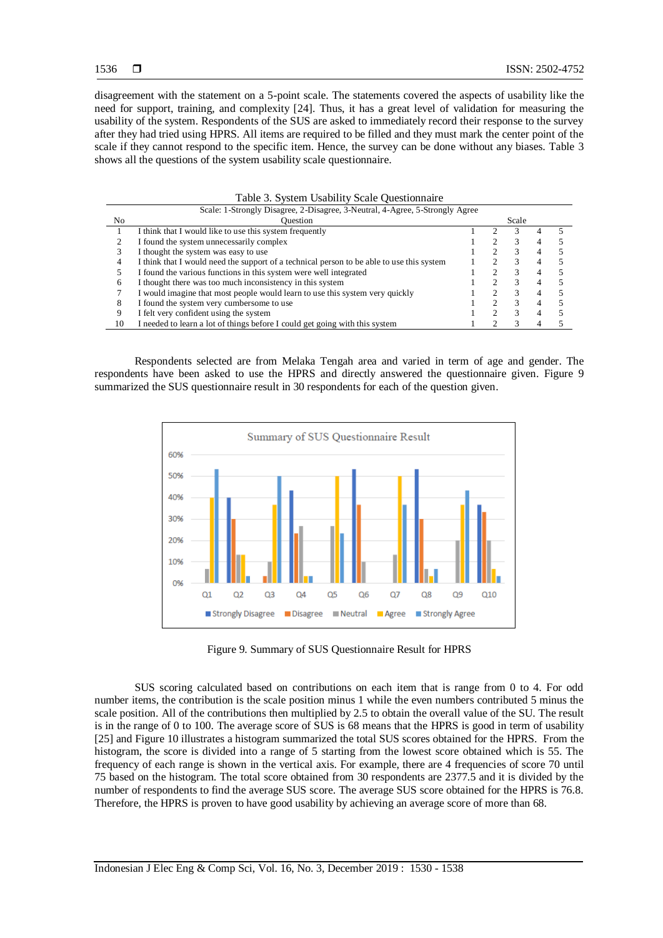disagreement with the statement on a 5-point scale. The statements covered the aspects of usability like the need for support, training, and complexity [24]. Thus, it has a great level of validation for measuring the usability of the system. Respondents of the SUS are asked to immediately record their response to the survey after they had tried using HPRS. All items are required to be filled and they must mark the center point of the scale if they cannot respond to the specific item. Hence, the survey can be done without any biases. Table 3 shows all the questions of the system usability scale questionnaire.

| Tuble 5: Bystem Csubinty Beare Questionmane                               |                                                                                           |  |   |       |  |  |  |
|---------------------------------------------------------------------------|-------------------------------------------------------------------------------------------|--|---|-------|--|--|--|
|                                                                           | Scale: 1-Strongly Disagree, 2-Disagree, 3-Neutral, 4-Agree, 5-Strongly Agree              |  |   |       |  |  |  |
| No.                                                                       | <b>Ouestion</b>                                                                           |  |   | Scale |  |  |  |
|                                                                           | I think that I would like to use this system frequently                                   |  |   |       |  |  |  |
|                                                                           | I found the system unnecessarily complex                                                  |  |   |       |  |  |  |
|                                                                           | I thought the system was easy to use                                                      |  |   |       |  |  |  |
| 4                                                                         | I think that I would need the support of a technical person to be able to use this system |  |   |       |  |  |  |
|                                                                           | I found the various functions in this system were well integrated                         |  |   |       |  |  |  |
| I thought there was too much inconsistency in this system<br><sub>(</sub> |                                                                                           |  |   | 3     |  |  |  |
|                                                                           | I would imagine that most people would learn to use this system very quickly              |  |   | 3     |  |  |  |
| 8                                                                         | I found the system very cumbersome to use                                                 |  | ◠ | 3     |  |  |  |
| 9                                                                         | I felt very confident using the system                                                    |  |   |       |  |  |  |
| 10                                                                        | I needed to learn a lot of things before I could get going with this system               |  |   |       |  |  |  |

Respondents selected are from Melaka Tengah area and varied in term of age and gender. The respondents have been asked to use the HPRS and directly answered the questionnaire given. Figure 9 summarized the SUS questionnaire result in 30 respondents for each of the question given.



Figure 9. Summary of SUS Questionnaire Result for HPRS

SUS scoring calculated based on contributions on each item that is range from 0 to 4. For odd number items, the contribution is the scale position minus 1 while the even numbers contributed 5 minus the scale position. All of the contributions then multiplied by 2.5 to obtain the overall value of the SU. The result is in the range of 0 to 100. The average score of SUS is 68 means that the HPRS is good in term of usability [25] and Figure 10 illustrates a histogram summarized the total SUS scores obtained for the HPRS. From the histogram, the score is divided into a range of 5 starting from the lowest score obtained which is 55. The frequency of each range is shown in the vertical axis. For example, there are 4 frequencies of score 70 until 75 based on the histogram. The total score obtained from 30 respondents are 2377.5 and it is divided by the number of respondents to find the average SUS score. The average SUS score obtained for the HPRS is 76.8. Therefore, the HPRS is proven to have good usability by achieving an average score of more than 68.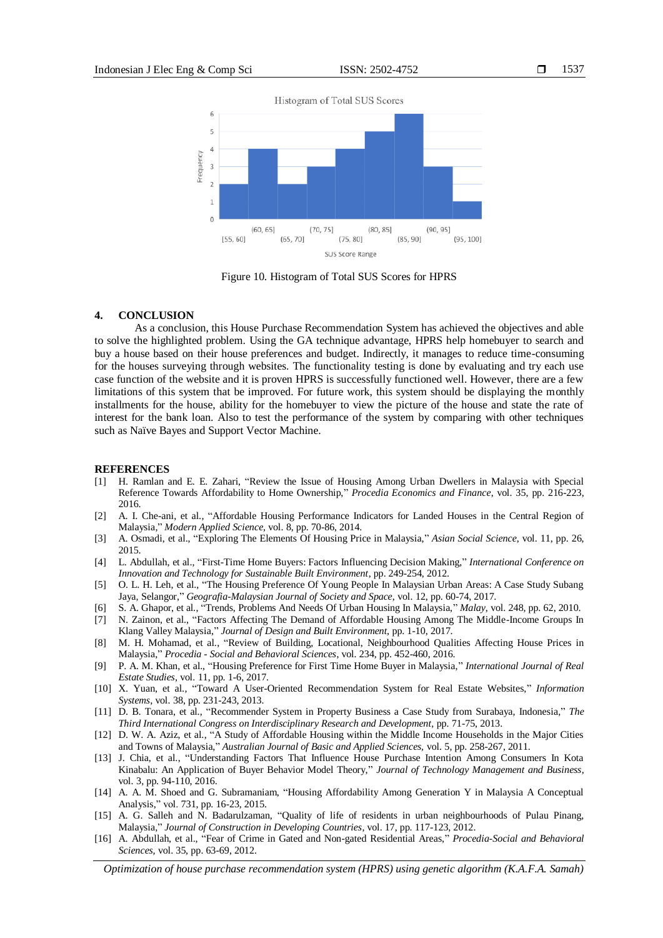

Figure 10. Histogram of Total SUS Scores for HPRS

#### **4. CONCLUSION**

As a conclusion, this House Purchase Recommendation System has achieved the objectives and able to solve the highlighted problem. Using the GA technique advantage, HPRS help homebuyer to search and buy a house based on their house preferences and budget. Indirectly, it manages to reduce time-consuming for the houses surveying through websites. The functionality testing is done by evaluating and try each use case function of the website and it is proven HPRS is successfully functioned well. However, there are a few limitations of this system that be improved. For future work, this system should be displaying the monthly installments for the house, ability for the homebuyer to view the picture of the house and state the rate of interest for the bank loan. Also to test the performance of the system by comparing with other techniques such as Naïve Bayes and Support Vector Machine.

#### **REFERENCES**

- [1] H. Ramlan and E. E. Zahari, "Review the Issue of Housing Among Urban Dwellers in Malaysia with Special Reference Towards Affordability to Home Ownership," *Procedia Economics and Finance*, vol. 35, pp. 216-223, 2016.
- [2] A. I. Che-ani, et al., "Affordable Housing Performance Indicators for Landed Houses in the Central Region of Malaysia," *Modern Applied Science,* vol. 8, pp. 70-86, 2014.
- [3] A. Osmadi, et al., "Exploring The Elements Of Housing Price in Malaysia," *Asian Social Science*, vol. 11, pp. 26, 2015.
- [4] L. Abdullah, et al., "First-Time Home Buyers: Factors Influencing Decision Making," *International Conference on Innovation and Technology for Sustainable Built Environment*, pp. 249-254, 2012.
- [5] O. L. H. Leh, et al., "The Housing Preference Of Young People In Malaysian Urban Areas: A Case Study Subang Jaya, Selangor," *Geografia-Malaysian Journal of Society and Space*, vol. 12, pp. 60-74, 2017.
- [6] S. A. Ghapor, et al., "Trends, Problems And Needs Of Urban Housing In Malaysia," *Malay*, vol. 248, pp. 62, 2010.
- [7] N. Zainon, et al., "Factors Affecting The Demand of Affordable Housing Among The Middle-Income Groups In Klang Valley Malaysia," *Journal of Design and Built Environment,* pp. 1-10, 2017.
- [8] M. H. Mohamad, et al., "Review of Building, Locational, Neighbourhood Qualities Affecting House Prices in Malaysia," *Procedia - Social and Behavioral Sciences*, vol. 234, pp. 452-460, 2016.
- [9] P. A. M. Khan, et al., "Housing Preference for First Time Home Buyer in Malaysia," *International Journal of Real Estate Studies*, vol. 11, pp. 1-6, 2017.
- [10] X. Yuan, et al., "Toward A User-Oriented Recommendation System for Real Estate Websites," *Information Systems*, vol. 38, pp. 231-243, 2013.
- [11] D. B. Tonara, et al., "Recommender System in Property Business a Case Study from Surabaya, Indonesia," *The Third International Congress on Interdisciplinary Research and Development*, pp. 71-75, 2013.
- [12] D. W. A. Aziz, et al., "A Study of Affordable Housing within the Middle Income Households in the Major Cities and Towns of Malaysia," *Australian Journal of Basic and Applied Sciences,* vol. 5, pp. 258-267, 2011.
- [13] J. Chia, et al., "Understanding Factors That Influence House Purchase Intention Among Consumers In Kota Kinabalu: An Application of Buyer Behavior Model Theory," *Journal of Technology Management and Business*, vol. 3, pp. 94-110, 2016.
- [14] A. A. M. Shoed and G. Subramaniam, "Housing Affordability Among Generation Y in Malaysia A Conceptual Analysis," vol. 731, pp. 16-23, 2015.
- [15] A. G. Salleh and N. Badarulzaman, "Quality of life of residents in urban neighbourhoods of Pulau Pinang, Malaysia," *Journal of Construction in Developing Countries*, vol. 17, pp. 117-123, 2012.
- [16] A. Abdullah, et al., "Fear of Crime in Gated and Non-gated Residential Areas," *Procedia-Social and Behavioral Sciences,* vol. 35, pp. 63-69, 2012.